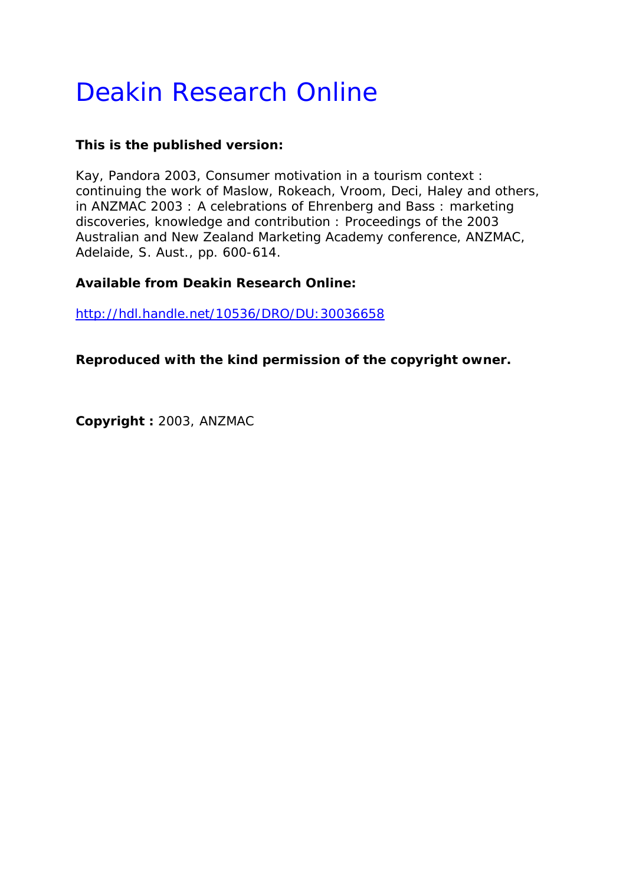# Deakin Research Online

# **This is the published version:**

Kay, Pandora 2003, Consumer motivation in a tourism context : continuing the work of Maslow, Rokeach, Vroom, Deci, Haley and others*, in ANZMAC 2003 : A celebrations of Ehrenberg and Bass : marketing discoveries, knowledge and contribution : Proceedings of the 2003 Australian and New Zealand Marketing Academy conference*, ANZMAC, Adelaide, S. Aust., pp. 600-614.

# **Available from Deakin Research Online:**

http://hdl.handle.net/10536/DRO/DU:30036658

**Reproduced with the kind permission of the copyright owner.** 

**Copyright :** 2003, ANZMAC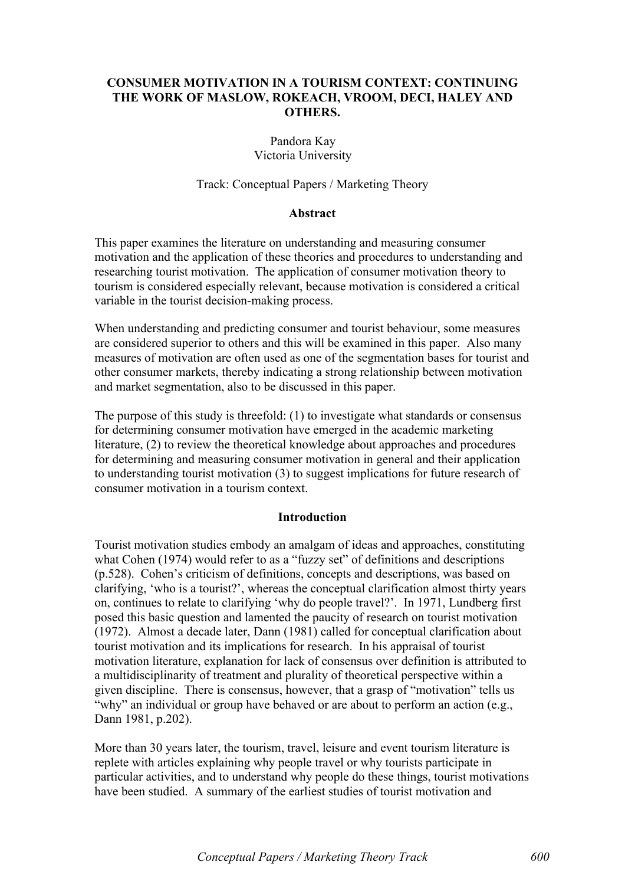#### CONSUMER MOTIVATION IN A TOURISM CONTEXT: CONTINUING THE WORK OF MASLOW, ROKEACH, VROOM, DECI, HALEY AND OTHERS.

## Pandora Kay Victoria University

#### Track: Conceptual Papers / Marketing Theory

#### Abstract

This paper examines the literature on understanding and measuring consumer motivation and the application of these theories and procedures to understanding and researching tourist motivation. The application of consumer motivation theory to tourism is considered especially relevant, because motivation is considered a critical variable in the tourist decision-making process.

When understanding and predicting consumer and tourist behaviour, some measures are considered superior to others and this will be examined in this paper. Also many measures of motivation are often used as one of the segmentation bases for tourist and other consumer markets, thereby indicating a strong relationship between motivation and market segmentation, also to be discussed in this paper.

The purpose of this study is threefold: (1) to investigate what standards or consensus for determining consumer motivation have emerged in the academic marketing literature, (2) to review the theoretical knowledge about approaches and procedures for determining and measuring consumer motivation in general and their application to understanding tourist motivation (3) to suggest implications for future research of consumer motivation in a tourism context.

#### **Introduction**

Tourist motivation studies embody an amalgam of ideas and approaches, constituting what Cohen (1974) would refer to as a "fuzzy set" of definitions and descriptions (p.528). Cohen's criticism of definitions, concepts and descriptions, was based on clarifying, 'who is a tourist?', whereas the conceptual clarification almost thirty years on, continues to relate to clarifying 'why do people travel?'. In 1971, Lundberg first posed this basic question and lamented the paucity of research on tourist motivation (1972). Almost a decade later, Dann (1981) called for conceptual clarification about tourist motivation and its implications for research. In his appraisal of tourist motivation literature, explanation for lack of consensus over definition is attributed to a multidisciplinarity of treatment and plurality of theoretical perspective within a given discipline. There is consensus, however, that a grasp of "motivation" tells us "why" an individual or group have behaved or are about to perform an action (e.g., Dann 1981, p.202).

More than 30 years later, the tourism, travel, leisure and event tourism literature is replete with articles explaining why people travel or why tourists participate in particular activities, and to understand why people do these things, tourist motivations have been studied. A summary of the earliest studies of tourist motivation and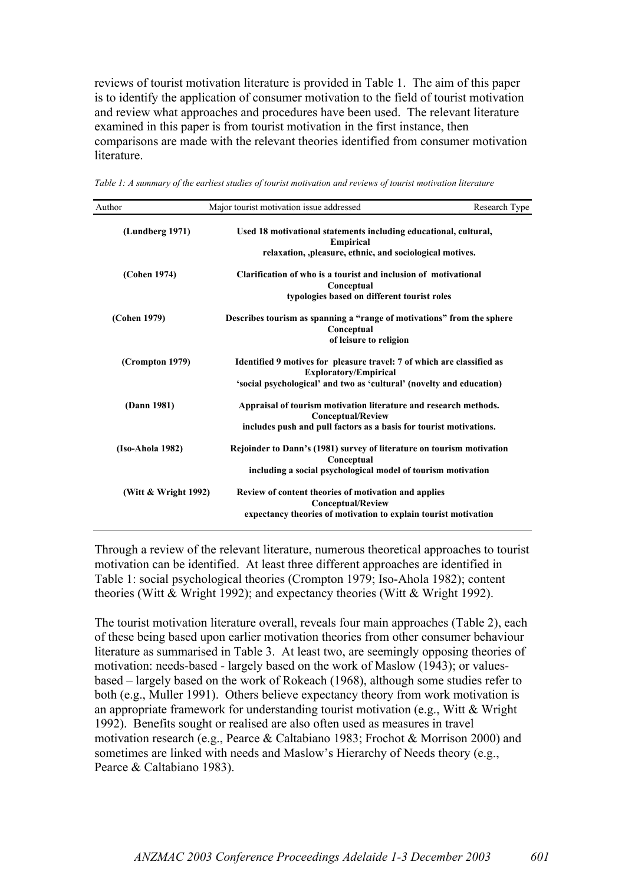reviews of tourist motivation literature is provided in Table 1. The aim of this paper is to identify the application of consumer motivation to the field of tourist motivation and review what approaches and procedures have been used. The relevant literature examined in this paper is from tourist motivation in the first instance, then comparisons are made with the relevant theories identified from consumer motivation literature.

| Author                 | Major tourist motivation issue addressed                                                               | Research Type |
|------------------------|--------------------------------------------------------------------------------------------------------|---------------|
| (Lundberg 1971)        | Used 18 motivational statements including educational, cultural,<br><b>Empirical</b>                   |               |
|                        | relaxation, ,pleasure, ethnic, and sociological motives.                                               |               |
| (Cohen 1974)           | Clarification of who is a tourist and inclusion of motivational<br>Conceptual                          |               |
|                        | typologies based on different tourist roles                                                            |               |
| (Cohen 1979)           | Describes tourism as spanning a "range of motivations" from the sphere<br>Conceptual                   |               |
|                        | of leisure to religion                                                                                 |               |
| (Crompton 1979)        | Identified 9 motives for pleasure travel: 7 of which are classified as<br><b>Exploratory/Empirical</b> |               |
|                        | 'social psychological' and two as 'cultural' (novelty and education)                                   |               |
| (Dann 1981)            | Appraisal of tourism motivation literature and research methods.<br><b>Conceptual/Review</b>           |               |
|                        | includes push and pull factors as a basis for tourist motivations.                                     |               |
| (Iso-Ahola 1982)       | Rejoinder to Dann's (1981) survey of literature on tourism motivation<br>Conceptual                    |               |
|                        | including a social psychological model of tourism motivation                                           |               |
| (Witt $&$ Wright 1992) | Review of content theories of motivation and applies<br><b>Conceptual/Review</b>                       |               |
|                        | expectancy theories of motivation to explain tourist motivation                                        |               |

*Table 1: A summary of the earliest studies of tourist motivation and reviews of tourist motivation literature*

Through a review of the relevant literature, numerous theoretical approaches to tourist motivation can be identified. At least three different approaches are identified in Table 1: social psychological theories (Crompton 1979; Iso-Ahola 1982); content theories (Witt & Wright 1992); and expectancy theories (Witt & Wright 1992).

The tourist motivation literature overall, reveals four main approaches (Table 2), each of these being based upon earlier motivation theories from other consumer behaviour literature as summarised in Table 3. At least two, are seemingly opposing theories of motivation: needs-based - largely based on the work of Maslow (1943); or valuesbased – largely based on the work of Rokeach (1968), although some studies refer to both (e.g., Muller 1991). Others believe expectancy theory from work motivation is an appropriate framework for understanding tourist motivation (e.g., Witt & Wright 1992). Benefits sought or realised are also often used as measures in travel motivation research (e.g., Pearce & Caltabiano 1983; Frochot & Morrison 2000) and sometimes are linked with needs and Maslow's Hierarchy of Needs theory (e.g., Pearce & Caltabiano 1983).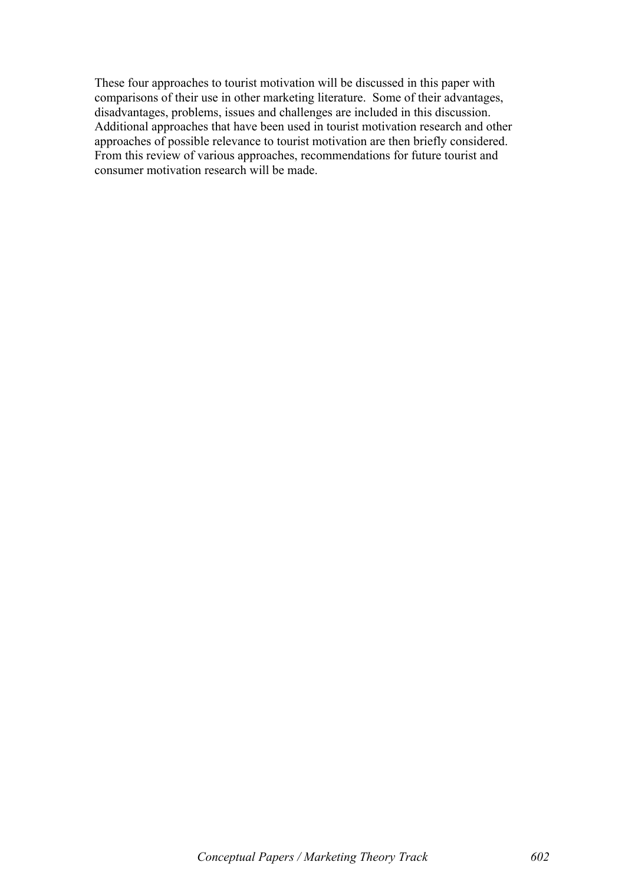These four approaches to tourist motivation will be discussed in this paper with comparisons of their use in other marketing literature. Some of their advantages, disadvantages, problems, issues and challenges are included in this discussion. Additional approaches that have been used in tourist motivation research and other approaches of possible relevance to tourist motivation are then briefly considered. From this review of various approaches, recommendations for future tourist and consumer motivation research will be made.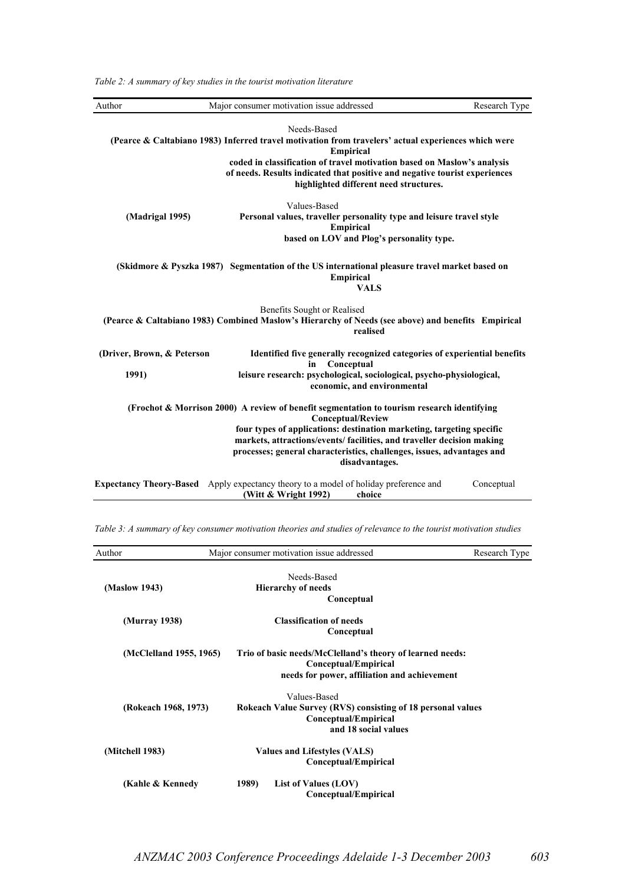*Table 2: A summary of key studies in the tourist motivation literature*

| Author                         | Major consumer motivation issue addressed                                                                                                                                                                         | Research Type |
|--------------------------------|-------------------------------------------------------------------------------------------------------------------------------------------------------------------------------------------------------------------|---------------|
|                                | Needs-Based<br>(Pearce & Caltabiano 1983) Inferred travel motivation from travelers' actual experiences which were<br><b>Empirical</b><br>coded in classification of travel motivation based on Maslow's analysis |               |
|                                | of needs. Results indicated that positive and negative tourist experiences<br>highlighted different need structures.                                                                                              |               |
|                                | Values-Based                                                                                                                                                                                                      |               |
| (Madrigal 1995)                | Personal values, traveller personality type and leisure travel style<br><b>Empirical</b>                                                                                                                          |               |
|                                | based on LOV and Plog's personality type.                                                                                                                                                                         |               |
|                                | (Skidmore & Pyszka 1987) Segmentation of the US international pleasure travel market based on<br><b>Empirical</b><br><b>VALS</b>                                                                                  |               |
|                                | Benefits Sought or Realised<br>(Pearce & Caltabiano 1983) Combined Maslow's Hierarchy of Needs (see above) and benefits Empirical<br>realised                                                                     |               |
| (Driver, Brown, & Peterson     | Identified five generally recognized categories of experiential benefits<br>Conceptual<br>in                                                                                                                      |               |
| 1991)                          | leisure research: psychological, sociological, psycho-physiological,<br>economic, and environmental                                                                                                               |               |
|                                | (Frochot & Morrison 2000) A review of benefit segmentation to tourism research identifying<br><b>Conceptual/Review</b>                                                                                            |               |
|                                | four types of applications: destination marketing, targeting specific                                                                                                                                             |               |
|                                | markets, attractions/events/ facilities, and traveller decision making<br>processes; general characteristics, challenges, issues, advantages and<br>disadvantages.                                                |               |
| <b>Expectancy Theory-Based</b> | Apply expectancy theory to a model of holiday preference and<br>(Witt & Wright 1992)<br>choice                                                                                                                    | Conceptual    |

|  | Table 3: A summary of key consumer motivation theories and studies of relevance to the tourist motivation studies |  |  |  |
|--|-------------------------------------------------------------------------------------------------------------------|--|--|--|
|  |                                                                                                                   |  |  |  |

| Author                  | Major consumer motivation issue addressed<br>Research Type                                                                        |  |  |
|-------------------------|-----------------------------------------------------------------------------------------------------------------------------------|--|--|
| (Maslow 1943)           | Needs-Based<br><b>Hierarchy of needs</b><br>Conceptual                                                                            |  |  |
| (Murray 1938)           | <b>Classification of needs</b><br>Conceptual                                                                                      |  |  |
| (McClelland 1955, 1965) | Trio of basic needs/McClelland's theory of learned needs:<br>Conceptual/Empirical<br>needs for power, affiliation and achievement |  |  |
| (Rokeach 1968, 1973)    | Values-Based<br>Rokeach Value Survey (RVS) consisting of 18 personal values<br>Conceptual/Empirical<br>and 18 social values       |  |  |
| (Mitchell 1983)         | <b>Values and Lifestyles (VALS)</b><br>Conceptual/Empirical                                                                       |  |  |
| (Kahle & Kennedy        | 1989)<br>List of Values (LOV)<br>Conceptual/Empirical                                                                             |  |  |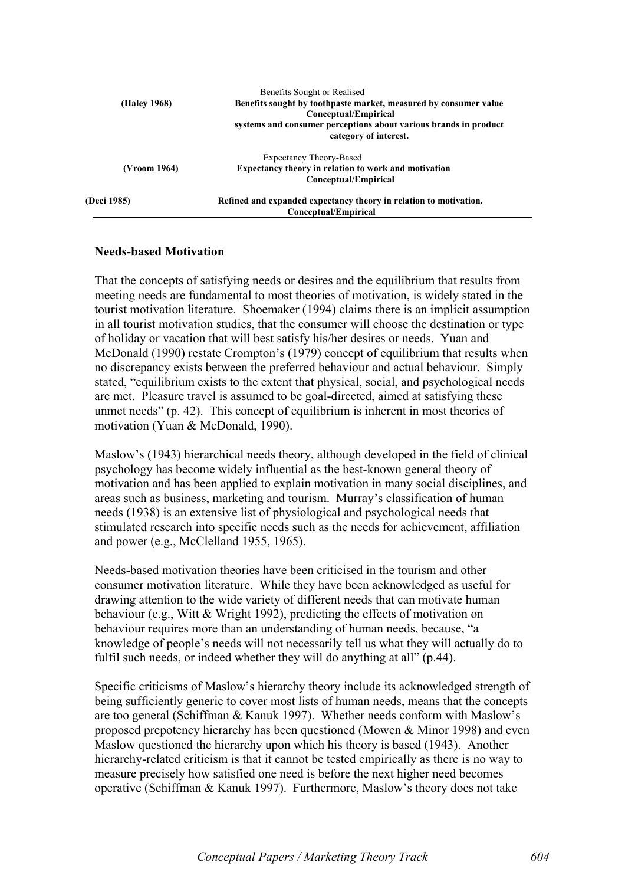|              | Benefits Sought or Realised                                       |
|--------------|-------------------------------------------------------------------|
| (Haley 1968) | Benefits sought by toothpaste market, measured by consumer value  |
|              | Conceptual/Empirical                                              |
|              | systems and consumer perceptions about various brands in product  |
|              | category of interest.                                             |
|              | Expectancy Theory-Based                                           |
| (Vroom 1964) | Expectancy theory in relation to work and motivation              |
|              | Conceptual/Empirical                                              |
| (Deci 1985)  | Refined and expanded expectancy theory in relation to motivation. |
|              | Conceptual/Empirical                                              |

#### Needs-based Motivation

That the concepts of satisfying needs or desires and the equilibrium that results from meeting needs are fundamental to most theories of motivation, is widely stated in the tourist motivation literature. Shoemaker (1994) claims there is an implicit assumption in all tourist motivation studies, that the consumer will choose the destination or type of holiday or vacation that will best satisfy his/her desires or needs. Yuan and McDonald (1990) restate Crompton's (1979) concept of equilibrium that results when no discrepancy exists between the preferred behaviour and actual behaviour. Simply stated, "equilibrium exists to the extent that physical, social, and psychological needs are met. Pleasure travel is assumed to be goal-directed, aimed at satisfying these unmet needs" (p. 42). This concept of equilibrium is inherent in most theories of motivation (Yuan & McDonald, 1990).

Maslow's (1943) hierarchical needs theory, although developed in the field of clinical psychology has become widely influential as the best-known general theory of motivation and has been applied to explain motivation in many social disciplines, and areas such as business, marketing and tourism. Murray's classification of human needs (1938) is an extensive list of physiological and psychological needs that stimulated research into specific needs such as the needs for achievement, affiliation and power (e.g., McClelland 1955, 1965).

Needs-based motivation theories have been criticised in the tourism and other consumer motivation literature. While they have been acknowledged as useful for drawing attention to the wide variety of different needs that can motivate human behaviour (e.g., Witt & Wright 1992), predicting the effects of motivation on behaviour requires more than an understanding of human needs, because, "a knowledge of people's needs will not necessarily tell us what they will actually do to fulfil such needs, or indeed whether they will do anything at all" (p.44).

Specific criticisms of Maslow's hierarchy theory include its acknowledged strength of being sufficiently generic to cover most lists of human needs, means that the concepts are too general (Schiffman & Kanuk 1997). Whether needs conform with Maslow's proposed prepotency hierarchy has been questioned (Mowen & Minor 1998) and even Maslow questioned the hierarchy upon which his theory is based (1943). Another hierarchy-related criticism is that it cannot be tested empirically as there is no way to measure precisely how satisfied one need is before the next higher need becomes operative (Schiffman & Kanuk 1997). Furthermore, Maslow's theory does not take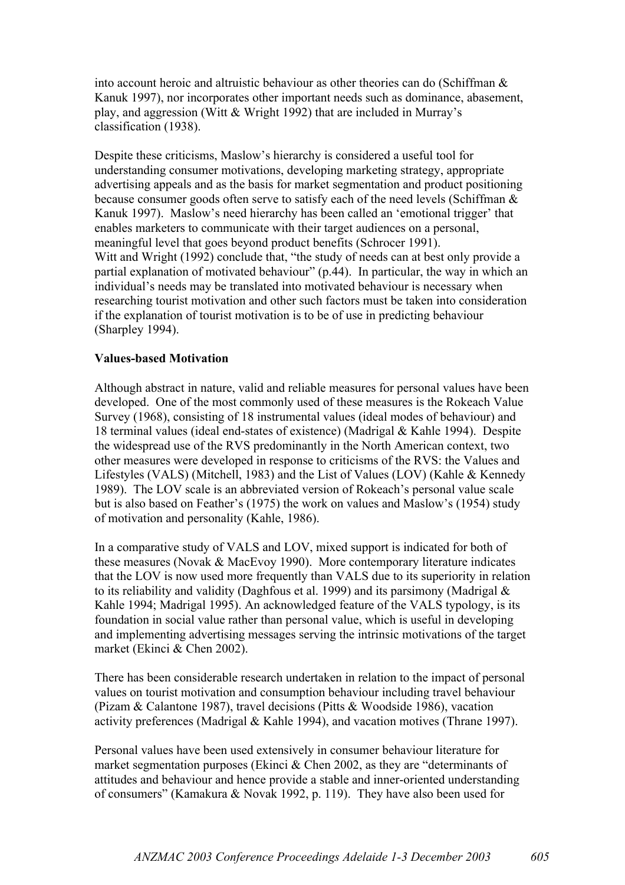into account heroic and altruistic behaviour as other theories can do (Schiffman & Kanuk 1997), nor incorporates other important needs such as dominance, abasement, play, and aggression (Witt & Wright 1992) that are included in Murray's classification (1938).

Despite these criticisms, Maslow's hierarchy is considered a useful tool for understanding consumer motivations, developing marketing strategy, appropriate advertising appeals and as the basis for market segmentation and product positioning because consumer goods often serve to satisfy each of the need levels (Schiffman & Kanuk 1997). Maslow's need hierarchy has been called an 'emotional trigger' that enables marketers to communicate with their target audiences on a personal, meaningful level that goes beyond product benefits (Schrocer 1991). Witt and Wright (1992) conclude that, "the study of needs can at best only provide a partial explanation of motivated behaviour" (p.44). In particular, the way in which an individual's needs may be translated into motivated behaviour is necessary when researching tourist motivation and other such factors must be taken into consideration if the explanation of tourist motivation is to be of use in predicting behaviour (Sharpley 1994).

#### Values-based Motivation

Although abstract in nature, valid and reliable measures for personal values have been developed. One of the most commonly used of these measures is the Rokeach Value Survey (1968), consisting of 18 instrumental values (ideal modes of behaviour) and 18 terminal values (ideal end-states of existence) (Madrigal & Kahle 1994). Despite the widespread use of the RVS predominantly in the North American context, two other measures were developed in response to criticisms of the RVS: the Values and Lifestyles (VALS) (Mitchell, 1983) and the List of Values (LOV) (Kahle & Kennedy 1989). The LOV scale is an abbreviated version of Rokeach's personal value scale but is also based on Feather's (1975) the work on values and Maslow's (1954) study of motivation and personality (Kahle, 1986).

In a comparative study of VALS and LOV, mixed support is indicated for both of these measures (Novak & MacEvoy 1990). More contemporary literature indicates that the LOV is now used more frequently than VALS due to its superiority in relation to its reliability and validity (Daghfous et al. 1999) and its parsimony (Madrigal & Kahle 1994; Madrigal 1995). An acknowledged feature of the VALS typology, is its foundation in social value rather than personal value, which is useful in developing and implementing advertising messages serving the intrinsic motivations of the target market (Ekinci & Chen 2002).

There has been considerable research undertaken in relation to the impact of personal values on tourist motivation and consumption behaviour including travel behaviour (Pizam & Calantone 1987), travel decisions (Pitts & Woodside 1986), vacation activity preferences (Madrigal & Kahle 1994), and vacation motives (Thrane 1997).

Personal values have been used extensively in consumer behaviour literature for market segmentation purposes (Ekinci & Chen 2002, as they are "determinants of attitudes and behaviour and hence provide a stable and inner-oriented understanding of consumers" (Kamakura & Novak 1992, p. 119). They have also been used for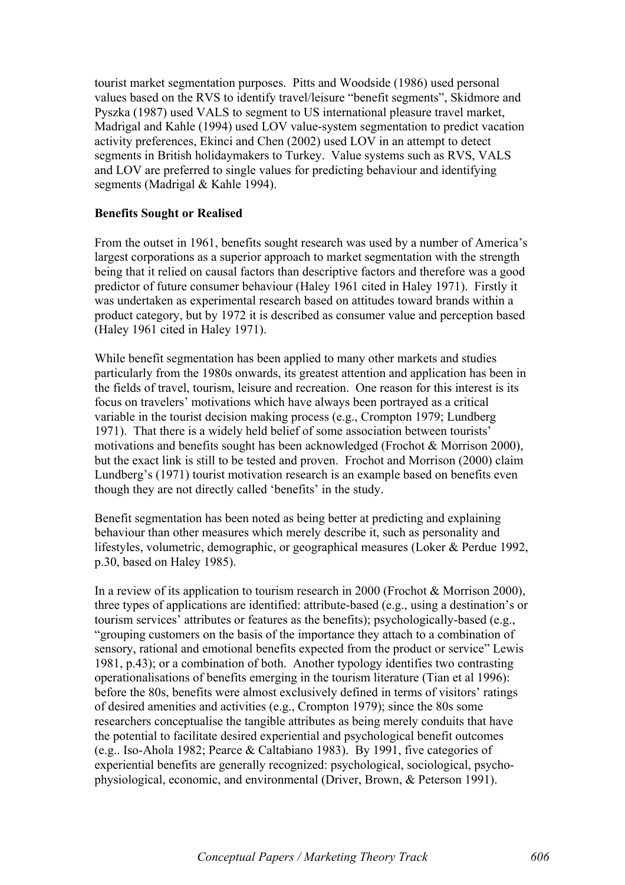tourist market segmentation purposes. Pitts and Woodside (1986) used personal values based on the RVS to identify travel/leisure "benefit segments", Skidmore and Pyszka (1987) used VALS to segment to US international pleasure travel market, Madrigal and Kahle (1994) used LOV value-system segmentation to predict vacation activity preferences, Ekinci and Chen (2002) used LOV in an attempt to detect segments in British holidaymakers to Turkey. Value systems such as RVS, VALS and LOV are preferred to single values for predicting behaviour and identifying segments (Madrigal & Kahle 1994).

#### Benefits Sought or Realised

From the outset in 1961, benefits sought research was used by a number of America's largest corporations as a superior approach to market segmentation with the strength being that it relied on causal factors than descriptive factors and therefore was a good predictor of future consumer behaviour (Haley 1961 cited in Haley 1971). Firstly it was undertaken as experimental research based on attitudes toward brands within a product category, but by 1972 it is described as consumer value and perception based (Haley 1961 cited in Haley 1971).

While benefit segmentation has been applied to many other markets and studies particularly from the 1980s onwards, its greatest attention and application has been in the fields of travel, tourism, leisure and recreation. One reason for this interest is its focus on travelers' motivations which have always been portrayed as a critical variable in the tourist decision making process (e.g., Crompton 1979; Lundberg 1971). That there is a widely held belief of some association between tourists' motivations and benefits sought has been acknowledged (Frochot & Morrison 2000), but the exact link is still to be tested and proven. Frochot and Morrison (2000) claim Lundberg's (1971) tourist motivation research is an example based on benefits even though they are not directly called 'benefits' in the study.

Benefit segmentation has been noted as being better at predicting and explaining behaviour than other measures which merely describe it, such as personality and lifestyles, volumetric, demographic, or geographical measures (Loker & Perdue 1992, p.30, based on Haley 1985).

In a review of its application to tourism research in 2000 (Frochot & Morrison 2000), three types of applications are identified: attribute-based (e.g., using a destination's or tourism services' attributes or features as the benefits); psychologically-based (e.g., "grouping customers on the basis of the importance they attach to a combination of sensory, rational and emotional benefits expected from the product or service" Lewis 1981, p.43); or a combination of both. Another typology identifies two contrasting operationalisations of benefits emerging in the tourism literature (Tian et al 1996): before the 80s, benefits were almost exclusively defined in terms of visitors' ratings of desired amenities and activities (e.g., Crompton 1979); since the 80s some researchers conceptualise the tangible attributes as being merely conduits that have the potential to facilitate desired experiential and psychological benefit outcomes (e.g.. Iso-Ahola 1982; Pearce & Caltabiano 1983). By 1991, five categories of experiential benefits are generally recognized: psychological, sociological, psychophysiological, economic, and environmental (Driver, Brown, & Peterson 1991).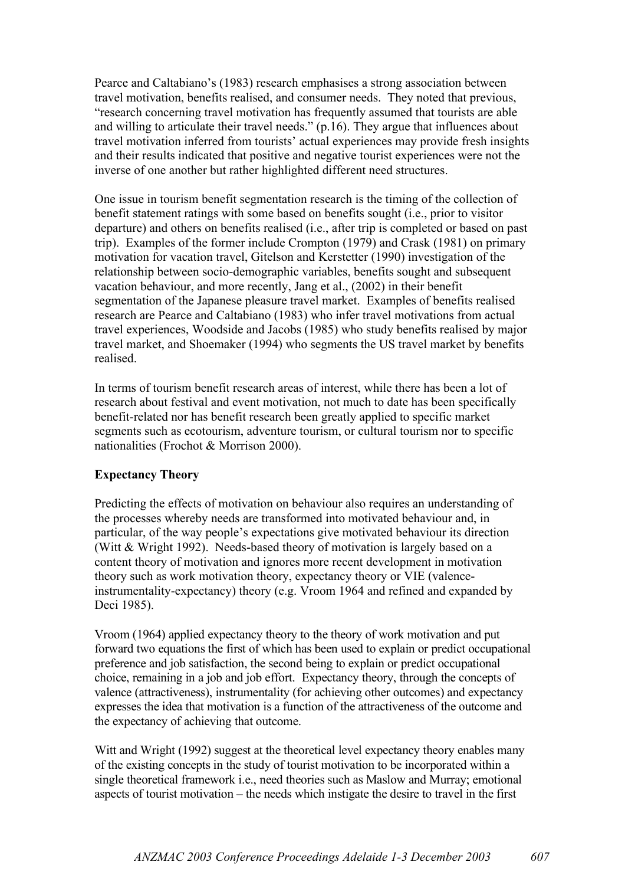Pearce and Caltabiano's (1983) research emphasises a strong association between travel motivation, benefits realised, and consumer needs. They noted that previous, "research concerning travel motivation has frequently assumed that tourists are able and willing to articulate their travel needs." (p.16). They argue that influences about travel motivation inferred from tourists' actual experiences may provide fresh insights and their results indicated that positive and negative tourist experiences were not the inverse of one another but rather highlighted different need structures.

One issue in tourism benefit segmentation research is the timing of the collection of benefit statement ratings with some based on benefits sought (i.e., prior to visitor departure) and others on benefits realised (i.e., after trip is completed or based on past trip). Examples of the former include Crompton (1979) and Crask (1981) on primary motivation for vacation travel, Gitelson and Kerstetter (1990) investigation of the relationship between socio-demographic variables, benefits sought and subsequent vacation behaviour, and more recently, Jang et al., (2002) in their benefit segmentation of the Japanese pleasure travel market. Examples of benefits realised research are Pearce and Caltabiano (1983) who infer travel motivations from actual travel experiences, Woodside and Jacobs (1985) who study benefits realised by major travel market, and Shoemaker (1994) who segments the US travel market by benefits realised.

In terms of tourism benefit research areas of interest, while there has been a lot of research about festival and event motivation, not much to date has been specifically benefit-related nor has benefit research been greatly applied to specific market segments such as ecotourism, adventure tourism, or cultural tourism nor to specific nationalities (Frochot & Morrison 2000).

## Expectancy Theory

Predicting the effects of motivation on behaviour also requires an understanding of the processes whereby needs are transformed into motivated behaviour and, in particular, of the way people's expectations give motivated behaviour its direction (Witt & Wright 1992). Needs-based theory of motivation is largely based on a content theory of motivation and ignores more recent development in motivation theory such as work motivation theory, expectancy theory or VIE (valenceinstrumentality-expectancy) theory (e.g. Vroom 1964 and refined and expanded by Deci 1985).

Vroom (1964) applied expectancy theory to the theory of work motivation and put forward two equations the first of which has been used to explain or predict occupational preference and job satisfaction, the second being to explain or predict occupational choice, remaining in a job and job effort. Expectancy theory, through the concepts of valence (attractiveness), instrumentality (for achieving other outcomes) and expectancy expresses the idea that motivation is a function of the attractiveness of the outcome and the expectancy of achieving that outcome.

Witt and Wright (1992) suggest at the theoretical level expectancy theory enables many of the existing concepts in the study of tourist motivation to be incorporated within a single theoretical framework i.e., need theories such as Maslow and Murray; emotional aspects of tourist motivation – the needs which instigate the desire to travel in the first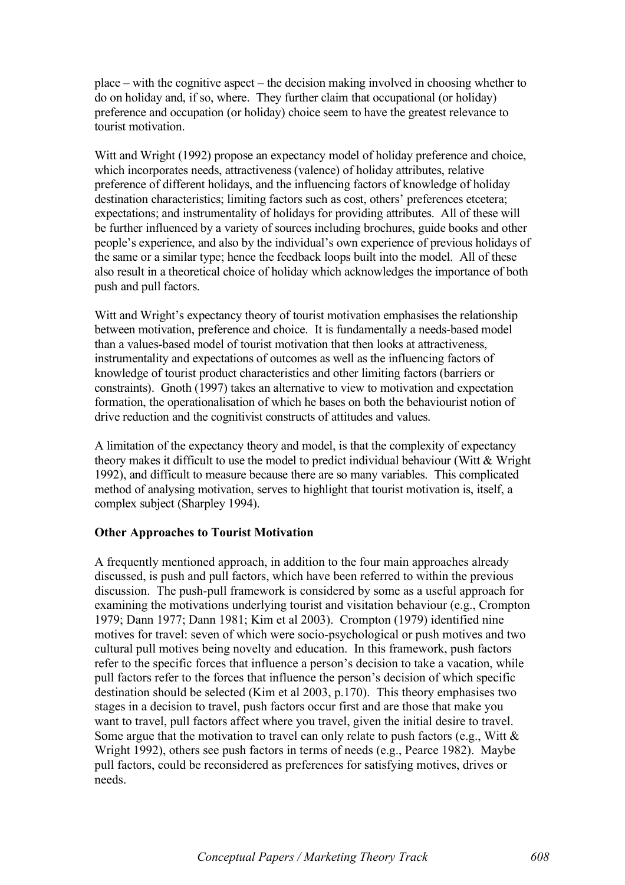place – with the cognitive aspect – the decision making involved in choosing whether to do on holiday and, if so, where. They further claim that occupational (or holiday) preference and occupation (or holiday) choice seem to have the greatest relevance to tourist motivation.

Witt and Wright (1992) propose an expectancy model of holiday preference and choice, which incorporates needs, attractiveness (valence) of holiday attributes, relative preference of different holidays, and the influencing factors of knowledge of holiday destination characteristics; limiting factors such as cost, others' preferences etcetera; expectations; and instrumentality of holidays for providing attributes. All of these will be further influenced by a variety of sources including brochures, guide books and other people's experience, and also by the individual's own experience of previous holidays of the same or a similar type; hence the feedback loops built into the model. All of these also result in a theoretical choice of holiday which acknowledges the importance of both push and pull factors.

Witt and Wright's expectancy theory of tourist motivation emphasises the relationship between motivation, preference and choice. It is fundamentally a needs-based model than a values-based model of tourist motivation that then looks at attractiveness, instrumentality and expectations of outcomes as well as the influencing factors of knowledge of tourist product characteristics and other limiting factors (barriers or constraints). Gnoth (1997) takes an alternative to view to motivation and expectation formation, the operationalisation of which he bases on both the behaviourist notion of drive reduction and the cognitivist constructs of attitudes and values.

A limitation of the expectancy theory and model, is that the complexity of expectancy theory makes it difficult to use the model to predict individual behaviour (Witt & Wright 1992), and difficult to measure because there are so many variables. This complicated method of analysing motivation, serves to highlight that tourist motivation is, itself, a complex subject (Sharpley 1994).

#### Other Approaches to Tourist Motivation

A frequently mentioned approach, in addition to the four main approaches already discussed, is push and pull factors, which have been referred to within the previous discussion. The push-pull framework is considered by some as a useful approach for examining the motivations underlying tourist and visitation behaviour (e.g., Crompton 1979; Dann 1977; Dann 1981; Kim et al 2003). Crompton (1979) identified nine motives for travel: seven of which were socio-psychological or push motives and two cultural pull motives being novelty and education. In this framework, push factors refer to the specific forces that influence a person's decision to take a vacation, while pull factors refer to the forces that influence the person's decision of which specific destination should be selected (Kim et al 2003, p.170). This theory emphasises two stages in a decision to travel, push factors occur first and are those that make you want to travel, pull factors affect where you travel, given the initial desire to travel. Some argue that the motivation to travel can only relate to push factors (e.g., Witt  $\&$ Wright 1992), others see push factors in terms of needs (e.g., Pearce 1982). Maybe pull factors, could be reconsidered as preferences for satisfying motives, drives or needs.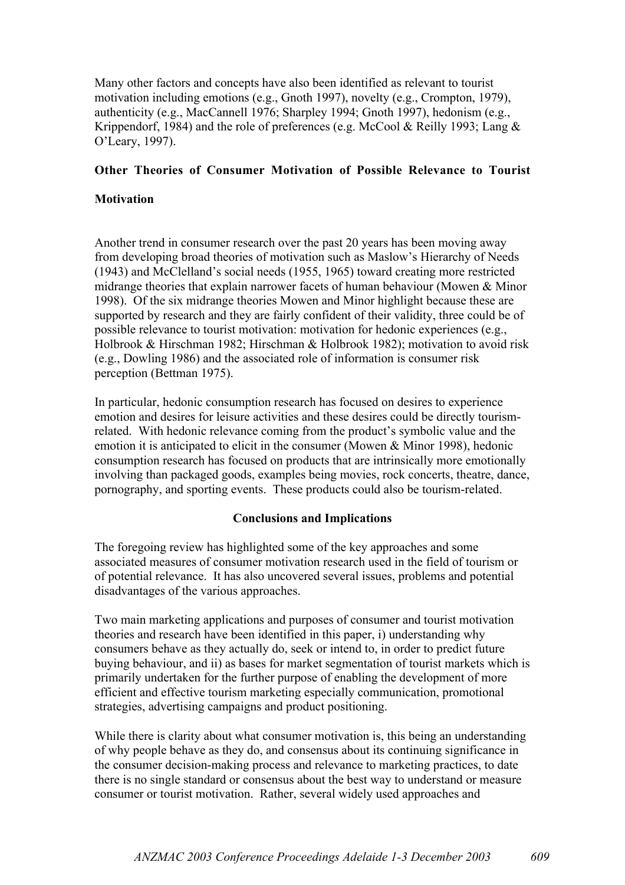Many other factors and concepts have also been identified as relevant to tourist motivation including emotions (e.g., Gnoth 1997), novelty (e.g., Crompton, 1979), authenticity (e.g., MacCannell 1976; Sharpley 1994; Gnoth 1997), hedonism (e.g., Krippendorf, 1984) and the role of preferences (e.g. McCool & Reilly 1993; Lang & O'Leary, 1997).

## Other Theories of Consumer Motivation of Possible Relevance to Tourist

#### **Motivation**

Another trend in consumer research over the past 20 years has been moving away from developing broad theories of motivation such as Maslow's Hierarchy of Needs (1943) and McClelland's social needs (1955, 1965) toward creating more restricted midrange theories that explain narrower facets of human behaviour (Mowen & Minor 1998). Of the six midrange theories Mowen and Minor highlight because these are supported by research and they are fairly confident of their validity, three could be of possible relevance to tourist motivation: motivation for hedonic experiences (e.g., Holbrook & Hirschman 1982; Hirschman & Holbrook 1982); motivation to avoid risk (e.g., Dowling 1986) and the associated role of information is consumer risk perception (Bettman 1975).

In particular, hedonic consumption research has focused on desires to experience emotion and desires for leisure activities and these desires could be directly tourismrelated. With hedonic relevance coming from the product's symbolic value and the emotion it is anticipated to elicit in the consumer (Mowen & Minor 1998), hedonic consumption research has focused on products that are intrinsically more emotionally involving than packaged goods, examples being movies, rock concerts, theatre, dance, pornography, and sporting events. These products could also be tourism-related.

## Conclusions and Implications

The foregoing review has highlighted some of the key approaches and some associated measures of consumer motivation research used in the field of tourism or of potential relevance. It has also uncovered several issues, problems and potential disadvantages of the various approaches.

Two main marketing applications and purposes of consumer and tourist motivation theories and research have been identified in this paper, i) understanding why consumers behave as they actually do, seek or intend to, in order to predict future buying behaviour, and ii) as bases for market segmentation of tourist markets which is primarily undertaken for the further purpose of enabling the development of more efficient and effective tourism marketing especially communication, promotional strategies, advertising campaigns and product positioning.

While there is clarity about what consumer motivation is, this being an understanding of why people behave as they do, and consensus about its continuing significance in the consumer decision-making process and relevance to marketing practices, to date there is no single standard or consensus about the best way to understand or measure consumer or tourist motivation. Rather, several widely used approaches and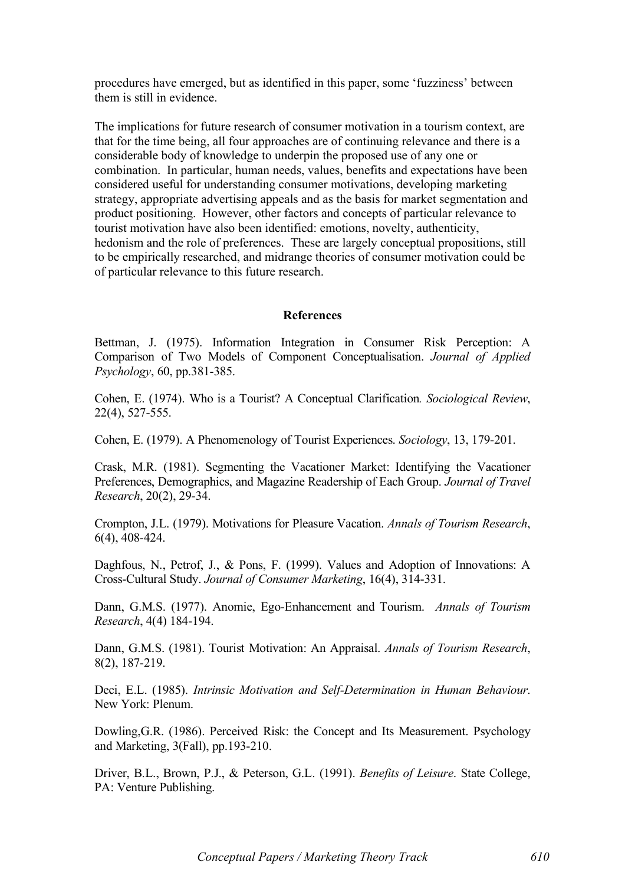procedures have emerged, but as identified in this paper, some 'fuzziness' between them is still in evidence.

The implications for future research of consumer motivation in a tourism context, are that for the time being, all four approaches are of continuing relevance and there is a considerable body of knowledge to underpin the proposed use of any one or combination. In particular, human needs, values, benefits and expectations have been considered useful for understanding consumer motivations, developing marketing strategy, appropriate advertising appeals and as the basis for market segmentation and product positioning. However, other factors and concepts of particular relevance to tourist motivation have also been identified: emotions, novelty, authenticity, hedonism and the role of preferences. These are largely conceptual propositions, still to be empirically researched, and midrange theories of consumer motivation could be of particular relevance to this future research.

#### **References**

Bettman, J. (1975). Information Integration in Consumer Risk Perception: A Comparison of Two Models of Component Conceptualisation. *Journal of Applied Psychology*, 60, pp.381-385.

Cohen, E. (1974). Who is a Tourist? A Conceptual Clarification*. Sociological Review*, 22(4), 527-555.

Cohen, E. (1979). A Phenomenology of Tourist Experiences. *Sociology*, 13, 179-201.

Crask, M.R. (1981). Segmenting the Vacationer Market: Identifying the Vacationer Preferences, Demographics, and Magazine Readership of Each Group. *Journal of Travel Research*, 20(2), 29-34.

Crompton, J.L. (1979). Motivations for Pleasure Vacation. *Annals of Tourism Research*, 6(4), 408-424.

Daghfous, N., Petrof, J., & Pons, F. (1999). Values and Adoption of Innovations: A Cross-Cultural Study. *Journal of Consumer Marketing*, 16(4), 314-331.

Dann, G.M.S. (1977). Anomie, Ego-Enhancement and Tourism. *Annals of Tourism Research*, 4(4) 184-194.

Dann, G.M.S. (1981). Tourist Motivation: An Appraisal. *Annals of Tourism Research*, 8(2), 187-219.

Deci, E.L. (1985). *Intrinsic Motivation and Self-Determination in Human Behaviour*. New York: Plenum.

Dowling,G.R. (1986). Perceived Risk: the Concept and Its Measurement. Psychology and Marketing, 3(Fall), pp.193-210.

Driver, B.L., Brown, P.J., & Peterson, G.L. (1991). *Benefits of Leisure*. State College, PA: Venture Publishing.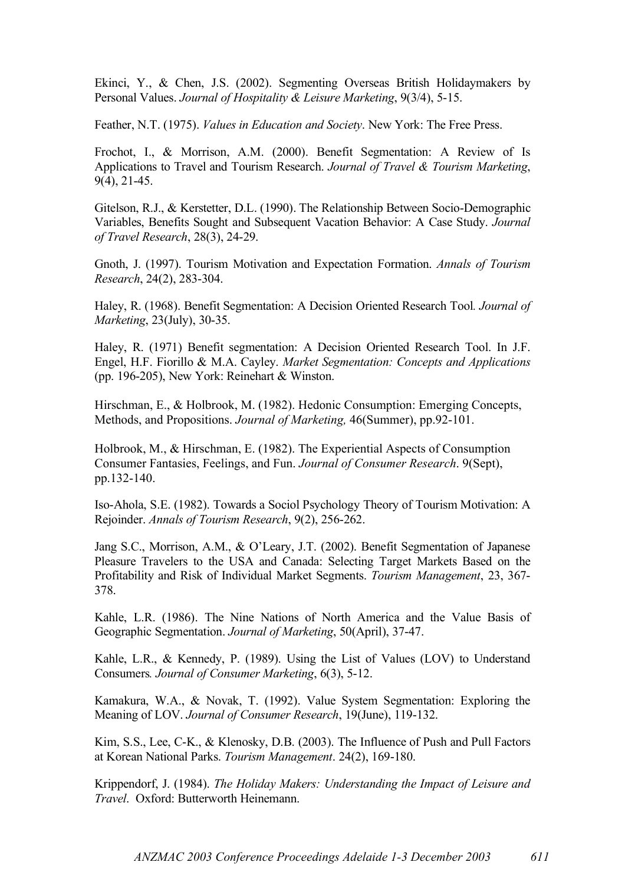Ekinci, Y., & Chen, J.S. (2002). Segmenting Overseas British Holidaymakers by Personal Values. *Journal of Hospitality & Leisure Marketing*, 9(3/4), 5-15.

Feather, N.T. (1975). *Values in Education and Society*. New York: The Free Press.

Frochot, I., & Morrison, A.M. (2000). Benefit Segmentation: A Review of Is Applications to Travel and Tourism Research. *Journal of Travel & Tourism Marketing*, 9(4), 21-45.

Gitelson, R.J., & Kerstetter, D.L. (1990). The Relationship Between Socio-Demographic Variables, Benefits Sought and Subsequent Vacation Behavior: A Case Study. *Journal of Travel Research*, 28(3), 24-29.

Gnoth, J. (1997). Tourism Motivation and Expectation Formation. *Annals of Tourism Research*, 24(2), 283-304.

Haley, R. (1968). Benefit Segmentation: A Decision Oriented Research Tool*. Journal of Marketing*, 23(July), 30-35.

Haley, R. (1971) Benefit segmentation: A Decision Oriented Research Tool. In J.F. Engel, H.F. Fiorillo & M.A. Cayley. *Market Segmentation: Concepts and Applications* (pp. 196-205), New York: Reinehart & Winston.

Hirschman, E., & Holbrook, M. (1982). Hedonic Consumption: Emerging Concepts, Methods, and Propositions. *Journal of Marketing,* 46(Summer), pp.92-101.

Holbrook, M., & Hirschman, E. (1982). The Experiential Aspects of Consumption Consumer Fantasies, Feelings, and Fun. *Journal of Consumer Research*. 9(Sept), pp.132-140.

Iso-Ahola, S.E. (1982). Towards a Sociol Psychology Theory of Tourism Motivation: A Rejoinder. *Annals of Tourism Research*, 9(2), 256-262.

Jang S.C., Morrison, A.M., & O'Leary, J.T. (2002). Benefit Segmentation of Japanese Pleasure Travelers to the USA and Canada: Selecting Target Markets Based on the Profitability and Risk of Individual Market Segments. *Tourism Management*, 23, 367- 378.

Kahle, L.R. (1986). The Nine Nations of North America and the Value Basis of Geographic Segmentation. *Journal of Marketing*, 50(April), 37-47.

Kahle, L.R., & Kennedy, P. (1989). Using the List of Values (LOV) to Understand Consumers*. Journal of Consumer Marketing*, 6(3), 5-12.

Kamakura, W.A., & Novak, T. (1992). Value System Segmentation: Exploring the Meaning of LOV. *Journal of Consumer Research*, 19(June), 119-132.

Kim, S.S., Lee, C-K., & Klenosky, D.B. (2003). The Influence of Push and Pull Factors at Korean National Parks. *Tourism Management*. 24(2), 169-180.

Krippendorf, J. (1984). *The Holiday Makers: Understanding the Impact of Leisure and Travel*. Oxford: Butterworth Heinemann.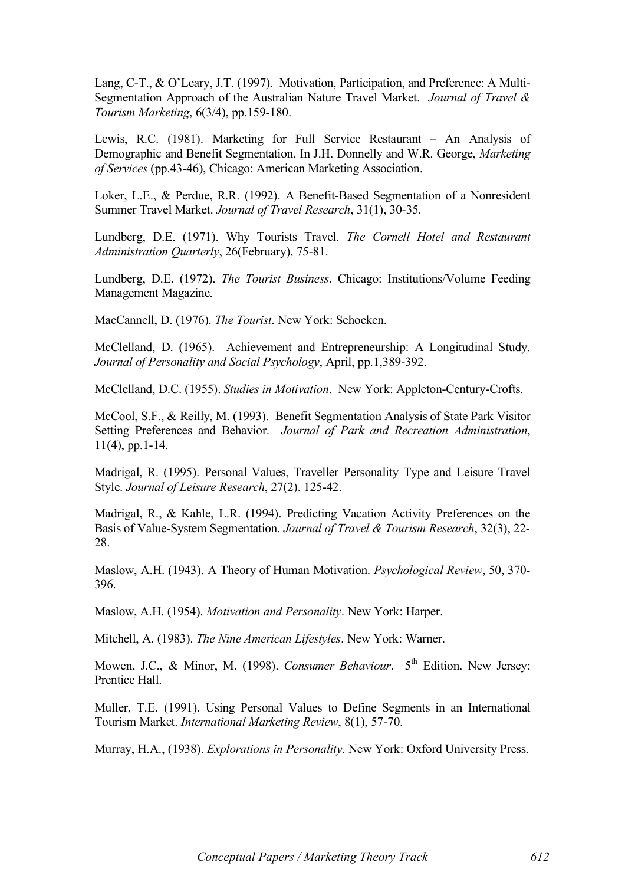Lang, C-T., & O'Leary, J.T. (1997). Motivation, Participation, and Preference: A Multi-Segmentation Approach of the Australian Nature Travel Market. *Journal of Travel & Tourism Marketing*, 6(3/4), pp.159-180.

Lewis, R.C. (1981). Marketing for Full Service Restaurant – An Analysis of Demographic and Benefit Segmentation. In J.H. Donnelly and W.R. George, *Marketing of Services* (pp.43-46), Chicago: American Marketing Association.

Loker, L.E., & Perdue, R.R. (1992). A Benefit-Based Segmentation of a Nonresident Summer Travel Market. *Journal of Travel Research*, 31(1), 30-35.

Lundberg, D.E. (1971). Why Tourists Travel. *The Cornell Hotel and Restaurant Administration Quarterly*, 26(February), 75-81.

Lundberg, D.E. (1972). *The Tourist Business*. Chicago: Institutions/Volume Feeding Management Magazine.

MacCannell, D. (1976). *The Tourist*. New York: Schocken.

McClelland, D. (1965). Achievement and Entrepreneurship: A Longitudinal Study. *Journal of Personality and Social Psychology*, April, pp.1,389-392.

McClelland, D.C. (1955). *Studies in Motivation*. New York: Appleton-Century-Crofts.

McCool, S.F., & Reilly, M. (1993). Benefit Segmentation Analysis of State Park Visitor Setting Preferences and Behavior. *Journal of Park and Recreation Administration*, 11(4), pp.1-14.

Madrigal, R. (1995). Personal Values, Traveller Personality Type and Leisure Travel Style. *Journal of Leisure Research*, 27(2). 125-42.

Madrigal, R., & Kahle, L.R. (1994). Predicting Vacation Activity Preferences on the Basis of Value-System Segmentation. *Journal of Travel & Tourism Research*, 32(3), 22- 28.

Maslow, A.H. (1943). A Theory of Human Motivation. *Psychological Review*, 50, 370- 396.

Maslow, A.H. (1954). *Motivation and Personality*. New York: Harper.

Mitchell, A. (1983). *The Nine American Lifestyles*. New York: Warner.

Mowen, J.C., & Minor, M. (1998). *Consumer Behaviour*. 5<sup>th</sup> Edition. New Jersey: Prentice Hall.

Muller, T.E. (1991). Using Personal Values to Define Segments in an International Tourism Market. *International Marketing Review*, 8(1), 57-70.

Murray, H.A., (1938). *Explorations in Personality*. New York: Oxford University Press.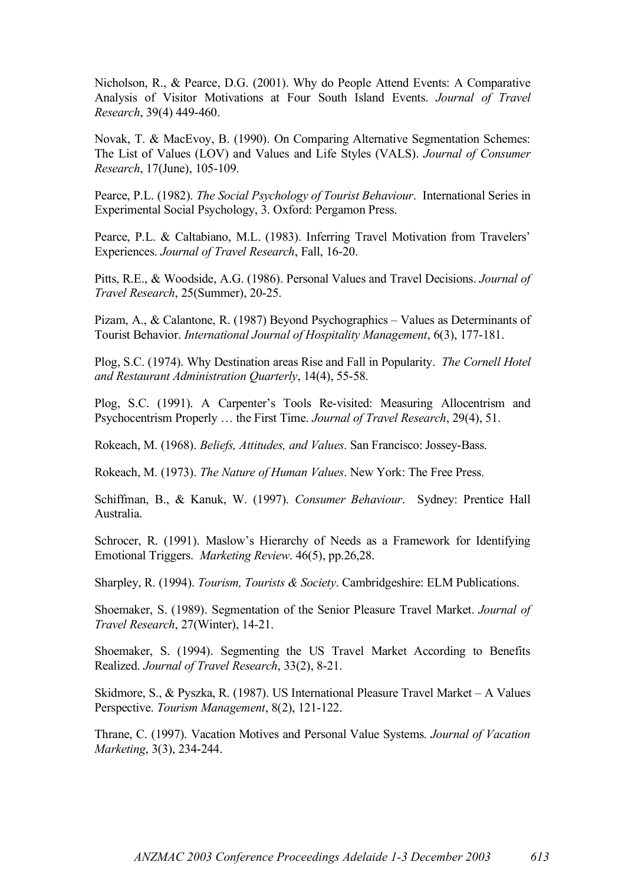Nicholson, R., & Pearce, D.G. (2001). Why do People Attend Events: A Comparative Analysis of Visitor Motivations at Four South Island Events. *Journal of Travel Research*, 39(4) 449-460.

Novak, T. & MacEvoy, B. (1990). On Comparing Alternative Segmentation Schemes: The List of Values (LOV) and Values and Life Styles (VALS). *Journal of Consumer Research*, 17(June), 105-109.

Pearce, P.L. (1982). *The Social Psychology of Tourist Behaviour*. International Series in Experimental Social Psychology, 3. Oxford: Pergamon Press.

Pearce, P.L. & Caltabiano, M.L. (1983). Inferring Travel Motivation from Travelers' Experiences. *Journal of Travel Research*, Fall, 16-20.

Pitts, R.E., & Woodside, A.G. (1986). Personal Values and Travel Decisions. *Journal of Travel Research*, 25(Summer), 20-25.

Pizam, A., & Calantone, R. (1987) Beyond Psychographics – Values as Determinants of Tourist Behavior. *International Journal of Hospitality Management*, 6(3), 177-181.

Plog, S.C. (1974). Why Destination areas Rise and Fall in Popularity. *The Cornell Hotel and Restaurant Administration Quarterly*, 14(4), 55-58.

Plog, S.C. (1991). A Carpenter's Tools Re-visited: Measuring Allocentrism and Psychocentrism Properly … the First Time. *Journal of Travel Research*, 29(4), 51.

Rokeach, M. (1968). *Beliefs, Attitudes, and Values*. San Francisco: Jossey-Bass.

Rokeach, M. (1973). *The Nature of Human Values*. New York: The Free Press.

Schiffman, B., & Kanuk, W. (1997). *Consumer Behaviour*. Sydney: Prentice Hall Australia.

Schrocer, R. (1991). Maslow's Hierarchy of Needs as a Framework for Identifying Emotional Triggers. *Marketing Review*. 46(5), pp.26,28.

Sharpley, R. (1994). *Tourism, Tourists & Society*. Cambridgeshire: ELM Publications.

Shoemaker, S. (1989). Segmentation of the Senior Pleasure Travel Market. *Journal of Travel Research*, 27(Winter), 14-21.

Shoemaker, S. (1994). Segmenting the US Travel Market According to Benefits Realized. *Journal of Travel Research*, 33(2), 8-21.

Skidmore, S., & Pyszka, R. (1987). US International Pleasure Travel Market – A Values Perspective. *Tourism Management*, 8(2), 121-122.

Thrane, C. (1997). Vacation Motives and Personal Value Systems. *Journal of Vacation Marketing*, 3(3), 234-244.